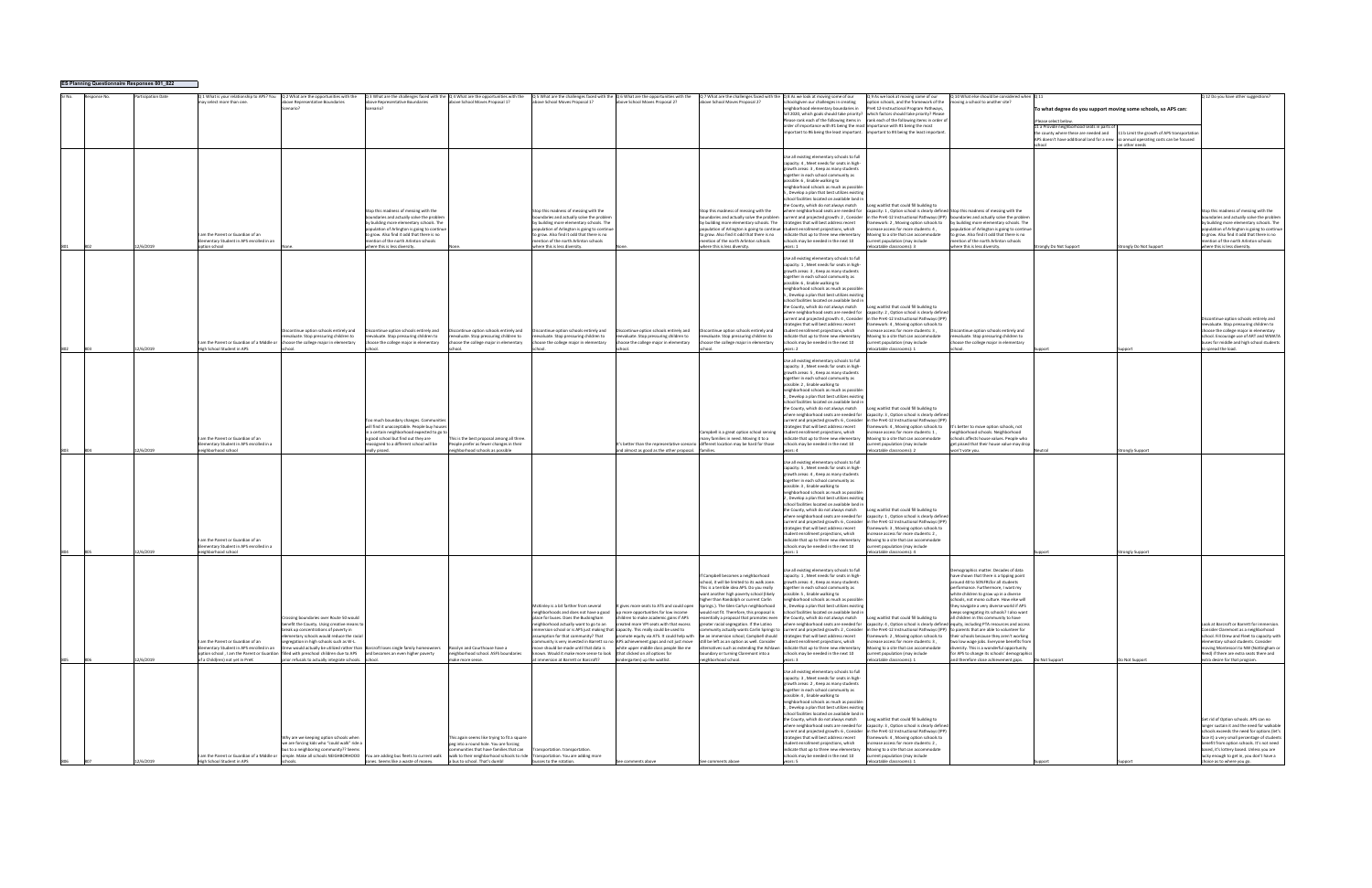| ES Planning Questionnaire Responses 801_822 |  |           |                                                                                                                |                                                                                                                                                                                                                                                                                                                                                                                                           |                                                                                                                                                                                                                                                                                                       |                                                                                                                                                                                                                                                                                             |                                                                                                                                                                                                                                                                                                                                                                                                                                                              |                                                                                                                                                                                                                                                                                                      |                                                                                                                                                                                                                                                                                                                                                                                                                                                                                                                                                                                  |                                                                                                                                                                                                                                                                                                                                                                                                                                                                                                                                                                                                                                                                                                                                                                                                                                                            |                                                                                                                                                                                                                                                                                                                                                                                                           |                                                                                                                                                                                                                                                                                                                                                                                                                                                                                                                                                                                                                                                                           |                                                                                                                                                                                                                                                                      |                                                               |                                                                                                                                                                                                                                                                                                                                                         |
|---------------------------------------------|--|-----------|----------------------------------------------------------------------------------------------------------------|-----------------------------------------------------------------------------------------------------------------------------------------------------------------------------------------------------------------------------------------------------------------------------------------------------------------------------------------------------------------------------------------------------------|-------------------------------------------------------------------------------------------------------------------------------------------------------------------------------------------------------------------------------------------------------------------------------------------------------|---------------------------------------------------------------------------------------------------------------------------------------------------------------------------------------------------------------------------------------------------------------------------------------------|--------------------------------------------------------------------------------------------------------------------------------------------------------------------------------------------------------------------------------------------------------------------------------------------------------------------------------------------------------------------------------------------------------------------------------------------------------------|------------------------------------------------------------------------------------------------------------------------------------------------------------------------------------------------------------------------------------------------------------------------------------------------------|----------------------------------------------------------------------------------------------------------------------------------------------------------------------------------------------------------------------------------------------------------------------------------------------------------------------------------------------------------------------------------------------------------------------------------------------------------------------------------------------------------------------------------------------------------------------------------|------------------------------------------------------------------------------------------------------------------------------------------------------------------------------------------------------------------------------------------------------------------------------------------------------------------------------------------------------------------------------------------------------------------------------------------------------------------------------------------------------------------------------------------------------------------------------------------------------------------------------------------------------------------------------------------------------------------------------------------------------------------------------------------------------------------------------------------------------------|-----------------------------------------------------------------------------------------------------------------------------------------------------------------------------------------------------------------------------------------------------------------------------------------------------------------------------------------------------------------------------------------------------------|---------------------------------------------------------------------------------------------------------------------------------------------------------------------------------------------------------------------------------------------------------------------------------------------------------------------------------------------------------------------------------------------------------------------------------------------------------------------------------------------------------------------------------------------------------------------------------------------------------------------------------------------------------------------------|----------------------------------------------------------------------------------------------------------------------------------------------------------------------------------------------------------------------------------------------------------------------|---------------------------------------------------------------|---------------------------------------------------------------------------------------------------------------------------------------------------------------------------------------------------------------------------------------------------------------------------------------------------------------------------------------------------------|
|                                             |  |           | Q 1 What is your relationship to APS? You<br>may select more than one.                                         | Q 2 What are the opportunities with the<br>bove Representative Boundaries<br>cenario?                                                                                                                                                                                                                                                                                                                     | above Representative Boundaries<br>Scenario                                                                                                                                                                                                                                                           | Q 3 What are the challenges faced with the Q 4 What are the opportunities with the<br>above School Moves Proposal 1?                                                                                                                                                                        | $Q$ 5 What are the challenges faced with the $Q$ 6 What are the opportunities with the<br>above School Moves Proposal 1?                                                                                                                                                                                                                                                                                                                                     | above School Moves Proposal 2?                                                                                                                                                                                                                                                                       | Q 7 What are the challenges faced with the Q 8 As we look at moving some of our<br>bove School Moves Proposal 2?                                                                                                                                                                                                                                                                                                                                                                                                                                                                 | schoolsgiven our challenges in creating<br>neighborhood elementary boundaries in<br>order of importance with #1 being the most importance with #1 being the most                                                                                                                                                                                                                                                                                                                                                                                                                                                                                                                                                                                                                                                                                           | Q 9 As we look at moving some of our<br>ption schools, and the framework of the<br>PreK 12-Instructional Program Pathways,<br>fall 2020, which goals should take priority? which factors should take priority? Please<br>Please rank each of the following items in rank each of the following items in order of<br>important to #6 being the least important. important to #4 being the least important. | 0.10 What else should be considered when 0.11<br>oving a school to another site?                                                                                                                                                                                                                                                                                                                                                                                                                                                                                                                                                                                          | To what degree do you support moving some schools, so APS can:<br>Please select below<br>11 a Provide neighborhood seats in parts of<br>the county where these are needed and<br>APS doesn't have additional land for a new so annual operating costs can be focused | 11 b Limit the growth of APS transportation<br>on other needs | Q 12 Do you have other suggestions                                                                                                                                                                                                                                                                                                                      |
|                                             |  | 2/6/2019  | I am the Parent or Guardian of an<br>Elementary Student in APS enrolled in an<br>ption school                  |                                                                                                                                                                                                                                                                                                                                                                                                           | Stop this madness of messing with the<br>boundaries and actually solve the problem<br>by building more elementary schools. The<br>opulation of Arlington is going to continue<br>to grow. Also find it odd that there is no<br>mention of the north Arlinton schools<br>where this is less diversity. |                                                                                                                                                                                                                                                                                             | Stop this madness of messing with the<br>oundaries and actually solve the problem<br>by building more elementary schools. The<br>opulation of Arlington is going to continue<br>o grow. Also find it odd that there is no<br>mention of the north Arlinton schools<br>where this is less diversity                                                                                                                                                           |                                                                                                                                                                                                                                                                                                      | Stop this madness of messing with the<br>ooundaries and actually solve the problem<br>to grow. Also find it odd that there is no<br>mention of the north Arlinton schools<br>where this is less diversity.                                                                                                                                                                                                                                                                                                                                                                       | Use all existing elementary schools to full<br>capacity: 4, Meet needs for seats in high-<br>growth areas: 3, Keep as many students<br>together in each school community as<br>oossible: 6, Enable walking to<br>neighborhood schools as much as possible<br>5, Develop a plan that best utilizes existin<br>school facilities located on available land ir<br>the County, which do not always match<br>where neighborhood seats are needed for<br>current and projected growth: 2, Consider<br>by building more elementary schools. The strategies that will best address recent<br>population of Arlington is going to continue student enrollment projections, which<br>indicate that up to three new elementary<br>schools may be needed in the next 10<br>vears: 1                                                                                    | ng waitlist that could fill building to<br>apacity: 1, Option school is clearly defined Stop this madness of messing with the<br>mework: 2, Moving option schools to<br>rease access for more students: 4.<br>wing to a site that can accommodate<br>urrent population (may include<br>elocatable classrooms): 3                                                                                          | in the PreK-12 Instructional Pathways (IPP) boundaries and actually solve the problem<br>by building more elementary schools. The<br>opulation of Arlington is going to continue<br>o grow. Also find it odd that there is no<br>nention of the north Arlinton schools<br>where this is less diversity.                                                                                                                                                                                                                                                                                                                                                                   | trongly Do Not Support                                                                                                                                                                                                                                               | Strongly Do Not Support                                       | Stop this madness of messing with the<br>boundaries and actually solve the probler<br>by building more elementary schools. The<br>opulation of Arlington is going to continue<br>to grow. Also find it odd that there is no<br>mention of the north Arlinton schools<br>where this is less diversity.                                                   |
|                                             |  | 12/6/2019 | am the Parent or Guardian of a Middle or<br>High School Student in APS                                         | scontinue option schools entirely and<br>evaluate. Stop pressuring children to<br>choose the college major in elementary<br>chool                                                                                                                                                                                                                                                                         | Discontinue option schools entirely and<br>reevaluate. Stop pressuring children to<br>oose the college major in elementary                                                                                                                                                                            | iscontinue option schools entirely and<br>reevaluate. Stop pressuring children to<br>bose the college major in elementary                                                                                                                                                                   | scontinue option schools entirely and<br>eevaluate. Stop pressuring children to<br>bose the college major in elementary                                                                                                                                                                                                                                                                                                                                      | iscontinue option schools entirely and<br>evaluate. Stop pressuring children to<br>ose the college major in elementary                                                                                                                                                                               | iscontinue option schools entirely and<br>eevaluate. Stop pressuring children to<br>hoose the college major in elementary                                                                                                                                                                                                                                                                                                                                                                                                                                                        | Use all existing elementary schools to full<br>capacity: 1. Meet needs for seats in high<br>growth areas: 3, Keep as many students<br>together in each school community as<br>possible: 6 . Enable walking to<br>neighborhood schools as much as possibl<br>5. Develop a plan that best utilizes existir<br>school facilities located on available land in<br>the County, which do not always match<br>where neighborhood seats are needed for<br>current and projected growth: 4, Consider<br>trategies that will best address recent<br>student enrollment projections, which<br>indicate that un to three new elementary<br>chools may be needed in the next 10<br>vears: 2                                                                                                                                                                             | ng waitlist that could fill building to<br>apacity: 2, Option school is clearly defined<br>1 the PreK-12 Instructional Pathways (IPP)<br>mework: 4, Moving option schools to<br>rease access for more students: 3,<br>oving to a site that can accommodate<br>rrent population (may include<br>elocatable classrooms): 1                                                                                  | scontinue option schools entirely and<br>eevaluate. Stop pressuring children to<br>hoose the college major in elementary                                                                                                                                                                                                                                                                                                                                                                                                                                                                                                                                                  |                                                                                                                                                                                                                                                                      |                                                               | Discontinue option schools entirely and<br>reevaluate. Stop pressuring children to<br>choose the college major in elementary<br>school. Encourage use of ART and WMATA<br>buses for middle and high school students<br>o spread the load.                                                                                                               |
|                                             |  | 2/6/2019  | am the Parent or Guardian of an<br>Elementary Student in APS enrolled in a<br>eighborhood schoo                |                                                                                                                                                                                                                                                                                                                                                                                                           | oo much boundary changes. Communities<br>will find it unacceptable. People buy houses<br>in a certain neighborhood expected to go to<br>a good school but find out they are<br>reassigned to a different school will be<br>really pissed                                                              | This is the best proposal among all three.<br>People prefer as fewer changes in their<br>eighborhood schools as possible                                                                                                                                                                    |                                                                                                                                                                                                                                                                                                                                                                                                                                                              | and almost as good as the other proposal. familie                                                                                                                                                                                                                                                    | Campbell is a great option school serving<br>many families in need. Moving it to a<br>t's better than the representative scenario different location may be hard for those                                                                                                                                                                                                                                                                                                                                                                                                       | Use all existing elementary schools to full<br>capacity: 3, Meet needs for seats in high-<br>growth areas: 5, Keep as many students<br>together in each school community as<br>possible: 2, Enable walking to<br>neighborhood schools as much as possible<br>, Develop a plan that best utilizes existin<br>school facilities located on available land in<br>the County, which do not always match<br>where neighborhood seats are needed for<br>current and projected growth: 6, Consider<br>ategies that will best address recent<br>student enrollment projections, which<br>indicate that up to three new elementary<br>chools may be needed in the next 10<br>vears: 4                                                                                                                                                                               | ng waitlist that could fill building to<br>capacity: 3, Option school is clearly defined<br>1 the PreK-12 Instructional Pathways (IPP)<br>nework: 4, Moving option schools to<br>rease access for more students: 1.<br>Aoving to a site that can accommodate<br>rrent population (may include<br>locatable classrooms): 2                                                                                 | 's better to move option schools, not<br>eighborhood schools. Neighborhood<br>chools affects house values. People who<br>get pissed that their house value may drop<br>von't vote you.                                                                                                                                                                                                                                                                                                                                                                                                                                                                                    |                                                                                                                                                                                                                                                                      |                                                               |                                                                                                                                                                                                                                                                                                                                                         |
|                                             |  | 2/6/2019  | am the Parent or Guardian of an<br>Elementary Student in APS enrolled in a<br>neighborhood school              |                                                                                                                                                                                                                                                                                                                                                                                                           |                                                                                                                                                                                                                                                                                                       |                                                                                                                                                                                                                                                                                             |                                                                                                                                                                                                                                                                                                                                                                                                                                                              |                                                                                                                                                                                                                                                                                                      |                                                                                                                                                                                                                                                                                                                                                                                                                                                                                                                                                                                  | Use all existing elementary schools to full<br>capacity: 5, Meet needs for seats in high-<br>erowth areas: 4. Keep as many students<br>together in each school community as<br>possible: 3, Enable walking to<br>neighborhood schools as much as possible<br>. Develop a plan that best utilizes existin<br>school facilities located on available land in<br>the County, which do not always match<br>where neighborhood seats are needed for<br>current and projected growth: 6, Consider<br>strategies that will best address recent<br>tudent enrollment projections, which<br>indicate that up to three new elementary<br>schools may be needed in the next 10<br>years: 1                                                                                                                                                                            | ng waitlist that could fill building to<br>capacity: 1, Option school is clearly defined<br>in the PreK-12 Instructional Pathways (IPP)<br>mework: 3. Moving option schools to<br>ease access for more students: 2<br>oving to a site that can accommodate<br>urrent population (may include<br>elocatable classrooms): 4                                                                                 |                                                                                                                                                                                                                                                                                                                                                                                                                                                                                                                                                                                                                                                                           |                                                                                                                                                                                                                                                                      | <b>Strongly Support</b><br><b>itrongly Support</b>            |                                                                                                                                                                                                                                                                                                                                                         |
|                                             |  | 2/6/2019  | am the Parent or Guardian of an<br>Elementary Student in APS enrolled in an<br>of a Child(ren) not vet in PreK | crossing boundaries over Route 50 would<br>benefit the County. Using creative means to<br>break up concentrations of poverty in<br>ementary schools would reduce the racial<br>gregation in high schools such as W-L.<br>option school, I am the Parent or Guardian filled with preschool children due to APS and becomes an even higher poverty<br>prior refusals to actually integrate schools. school. | Drew would actually be utilized rather than Barcroft loses single family homeowners                                                                                                                                                                                                                   | Rosslyn and Courthouse have a<br>neighborhood school. ASFS boundaries<br>make more sense.                                                                                                                                                                                                   | McKinley is a bit farther from several<br>neighborhoods and does not have a good<br>place for buses. Does the Buckingham<br>neighborhood actually want to go to an<br>immersion school or is APS just making that capacity. This really could be used to<br>assumption for that community? That<br>ove should be made until that data is<br>known. Would it make more sense to look (that clicked on all options for<br>at immersion at Barrett or Barcroft? | t gives more seats to ATS and could open<br>up more opportunities for low income<br>children to make academic gains if APS<br>created more VPI seats with that excess<br>mmunity is very invested in Barrett so no APS achievement gaps and not just move<br>white upper middle class people like me | f Campbell becomes a neighborhood<br>iool, it will be limited to its walk zone.<br>This is a terrible idea APS. Do you really<br>want another high poverty school (likely<br>higher than Randolph or current Carlin<br>Springs.). The Glen Carlyn neighborhood<br>vould not fit. Therefore, this proposal is<br>greater racial segregation. If the Latino<br>promote equity via ATS. It could help with be an immersion school. Campbell should strategies that will best address recent<br>still be left as an option as well. Consider<br>ooundary or turning Claremont into a | Use all existing elementary schools to full<br>capacity: 1, Meet needs for seats in high-<br>growth areas: 4, Keep as many student:<br>together in each school community as<br>possible: 5 . Enable walking to<br>neighborhood schools as much as possible<br>6, Develop a plan that best utilizes existing<br>school facilities located on available land in<br>ssentially a proposal that promotes even the County, which do not always match<br>where neighborhood seats are needed for<br>ommunity actually wants Carlin Springs to current and projected growth: 2, Consider in the PreK-12 Instructional Pathways (IPP) to parents that are able to volunteer for<br>student enrollment projections, which<br>Iternatives such as extending the Ashlawn indicate that up to three new elementary<br>schools may be needed in the next 10<br>vears: 3 | ng waitlist that could fill building to<br>capacity: 4, Option school is clearly defined equity, including PTA resources and access<br>rease access for more students: 3,<br>oving to a site that can accommodate<br>urrent population (may include<br>elocatable classrooms): 1                                                                                                                          | Demographics matter. Decades of data<br>ave shown that there is a tipping point<br>ound 40 to 50%ERI for all students<br>performance. Furthermore, I want my<br>white children to grow up in a diverse<br>schools, not mono culture. How else will<br>they navigate a very diverse world if APS<br>eeps segregating its schools? I also want<br>all children in this community to have<br>amework: 2, Moving option schools to their schools because they aren't working<br>wo low wage jobs. Everyone benefits from<br>diversity. This is a wonderful opportunity<br>for APS to change its schools' demographics<br>and therefore close achievement gaps. Do Not Support |                                                                                                                                                                                                                                                                      | Do Not Support                                                | Look at Barcroft or Barrett for immersion.<br>Consider Claremont as a neighborhood<br>school. Fill Drew and Fleet to capacity with<br>mentary school students. Consider<br>moving Montessori to NW (Nottingham or<br>Reed) if there are extra seats there and<br>extra desire for that program.                                                         |
|                                             |  | /6/2019   | I am the Parent or Guardian of a Middle or<br>High School Student in APS                                       | Vhy are we keeping option schools when<br>we are forcing kids who "could walk" ride a<br>ous to a neighboring community?? Seems                                                                                                                                                                                                                                                                           | zones. Seems like a waste of money.                                                                                                                                                                                                                                                                   | is again seems like trying to fit a square<br>peg into a round hole. You are forcing<br>munities that have families that can<br>simple. Make all schools NEIGHBORHOOD You are adding bus fleets to current walk walk to their neighborhood schools to ride<br>a bus to school. That's dumb! | ansportation. transportation.<br>ansportation. You are adding more<br>usses to the rotation.                                                                                                                                                                                                                                                                                                                                                                 | kindergarten) up the waitlist.<br>e comments above                                                                                                                                                                                                                                                   | eighborhood school.<br>ee comments above                                                                                                                                                                                                                                                                                                                                                                                                                                                                                                                                         | Use all existing elementary schools to full<br>capacity: 3, Meet needs for seats in high-<br>growth areas: 2, Keep as many students<br>together in each school community as<br>possible: 4, Enable walking to<br>neighborhood schools as much as possible<br>1, Develop a plan that best utilizes existing<br>school facilities located on available land in<br>the County, which do not always match<br>where neighborhood seats are needed for<br>current and projected growth: 6, Consider<br>strategies that will best address recent<br>student enrollment projections, which<br>indicate that up to three new elementary<br>schools may be needed in the next 10<br>vears: 5                                                                                                                                                                         | ong waitlist that could fill building to<br>apacity: 3, Option school is clearly definer<br>in the PreK-12 Instructional Pathways (IPP)<br>mework: 4, Moving option schools to<br>rease access for more students: 2.<br>oving to a site that can accommodate<br>rrent population (may include<br>elocatable classrooms): 1                                                                                |                                                                                                                                                                                                                                                                                                                                                                                                                                                                                                                                                                                                                                                                           |                                                                                                                                                                                                                                                                      |                                                               | Get rid of Option schools. APS can no<br>onger sustain it and the need for walkable<br>schools exceeds the need for options (let's<br>face it) a very small percentage of students<br>benefit from option schools. It's not need<br>based, it's lottery based. Unless you are<br>lucky enough to get in, you don't have a<br>choice as to where you go. |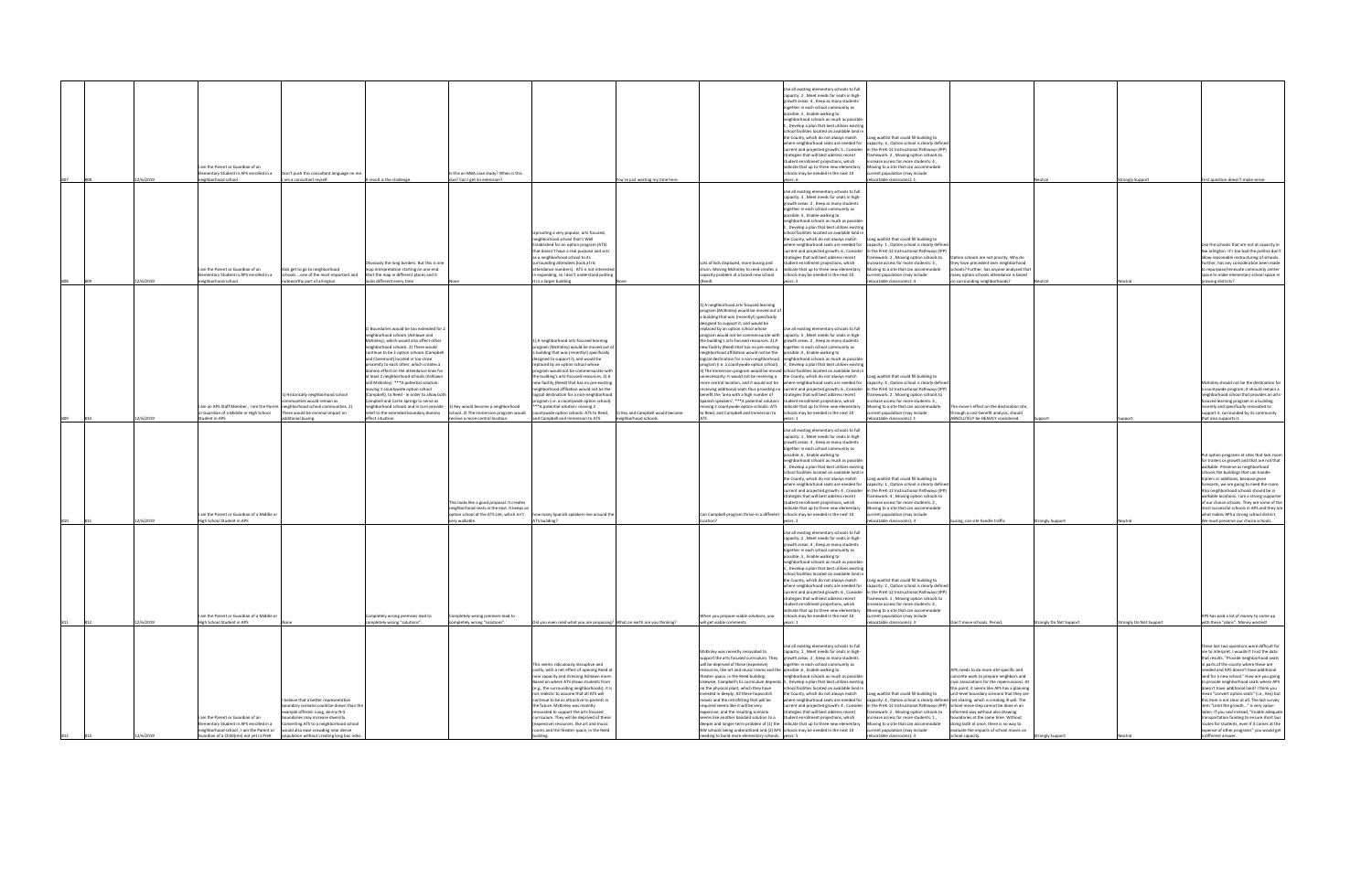|     |                  |                                                                                                                                                                    |                                                                                                                                                                                                                                                                                           |                                                                                                                                                                                                                                                                                                                                                                                                                                                                                                                                                                                                                                                        |                                                                                                                                                         |                                                                                                                                                                                                                                                                                                                                                                                                                                                                                                                                                                               |                                   |                                                                                                                                                                                                                                                                                                                                                                                                                                                                                                                                                                                                                                                                                                                                                                                                                                                                                                                             | Use all existing elementary schools to full<br>capacity: 2, Meet needs for seats in high-<br>growth areas: 4, Keep as many students<br>ogether in each school community as<br>possible: 3, Enable walking to                                                                                                                                                                                                                                                                                                                                                                                                     |                                                                                                                                                                                                                                                                                                                                                                                                                   |                                                                                                                                                                                                                                                                                                                                                                                                                 |                         |                      |                                                                                                                                                                                                                                                                                                                                                                                                                                                                                                                                                                                                                                                                                                                             |
|-----|------------------|--------------------------------------------------------------------------------------------------------------------------------------------------------------------|-------------------------------------------------------------------------------------------------------------------------------------------------------------------------------------------------------------------------------------------------------------------------------------------|--------------------------------------------------------------------------------------------------------------------------------------------------------------------------------------------------------------------------------------------------------------------------------------------------------------------------------------------------------------------------------------------------------------------------------------------------------------------------------------------------------------------------------------------------------------------------------------------------------------------------------------------------------|---------------------------------------------------------------------------------------------------------------------------------------------------------|-------------------------------------------------------------------------------------------------------------------------------------------------------------------------------------------------------------------------------------------------------------------------------------------------------------------------------------------------------------------------------------------------------------------------------------------------------------------------------------------------------------------------------------------------------------------------------|-----------------------------------|-----------------------------------------------------------------------------------------------------------------------------------------------------------------------------------------------------------------------------------------------------------------------------------------------------------------------------------------------------------------------------------------------------------------------------------------------------------------------------------------------------------------------------------------------------------------------------------------------------------------------------------------------------------------------------------------------------------------------------------------------------------------------------------------------------------------------------------------------------------------------------------------------------------------------------|------------------------------------------------------------------------------------------------------------------------------------------------------------------------------------------------------------------------------------------------------------------------------------------------------------------------------------------------------------------------------------------------------------------------------------------------------------------------------------------------------------------------------------------------------------------------------------------------------------------|-------------------------------------------------------------------------------------------------------------------------------------------------------------------------------------------------------------------------------------------------------------------------------------------------------------------------------------------------------------------------------------------------------------------|-----------------------------------------------------------------------------------------------------------------------------------------------------------------------------------------------------------------------------------------------------------------------------------------------------------------------------------------------------------------------------------------------------------------|-------------------------|----------------------|-----------------------------------------------------------------------------------------------------------------------------------------------------------------------------------------------------------------------------------------------------------------------------------------------------------------------------------------------------------------------------------------------------------------------------------------------------------------------------------------------------------------------------------------------------------------------------------------------------------------------------------------------------------------------------------------------------------------------------|
|     |                  |                                                                                                                                                                    |                                                                                                                                                                                                                                                                                           |                                                                                                                                                                                                                                                                                                                                                                                                                                                                                                                                                                                                                                                        |                                                                                                                                                         |                                                                                                                                                                                                                                                                                                                                                                                                                                                                                                                                                                               |                                   |                                                                                                                                                                                                                                                                                                                                                                                                                                                                                                                                                                                                                                                                                                                                                                                                                                                                                                                             | neighborhood schools as much as possible:<br>, Develop a plan that best utilizes existin<br>school facilities located on available land in<br>the County, which do not always match<br>where neighborhood seats are needed for<br>current and projected growth: 5, Consider                                                                                                                                                                                                                                                                                                                                      | ng waitlist that could fill building to<br>capacity: 3, Option school is clearly defined<br>in the PreK-12 Instructional Pathways (IPP)                                                                                                                                                                                                                                                                           |                                                                                                                                                                                                                                                                                                                                                                                                                 |                         |                      |                                                                                                                                                                                                                                                                                                                                                                                                                                                                                                                                                                                                                                                                                                                             |
|     |                  | I am the Parent or Guardian of an                                                                                                                                  |                                                                                                                                                                                                                                                                                           |                                                                                                                                                                                                                                                                                                                                                                                                                                                                                                                                                                                                                                                        |                                                                                                                                                         |                                                                                                                                                                                                                                                                                                                                                                                                                                                                                                                                                                               |                                   |                                                                                                                                                                                                                                                                                                                                                                                                                                                                                                                                                                                                                                                                                                                                                                                                                                                                                                                             | strategies that will best address recent<br>student enrollment projections, which<br>indicate that up to three new elementary                                                                                                                                                                                                                                                                                                                                                                                                                                                                                    | mework: 2, Moving option schools to<br>rease access for more students: 4,<br>oving to a site that can accommodate                                                                                                                                                                                                                                                                                                 |                                                                                                                                                                                                                                                                                                                                                                                                                 |                         |                      |                                                                                                                                                                                                                                                                                                                                                                                                                                                                                                                                                                                                                                                                                                                             |
|     | 2/6/2019         | Elementary Student in APS enrolled in a<br>leighborhood school                                                                                                     | Don't push this consultant language on me<br>am a consultant myself.                                                                                                                                                                                                                      | A revolt is the challenge                                                                                                                                                                                                                                                                                                                                                                                                                                                                                                                                                                                                                              | s this an MBA case study? When is this<br>due? Can I get an extension?                                                                                  |                                                                                                                                                                                                                                                                                                                                                                                                                                                                                                                                                                               | 'ou're just wasting my time here. |                                                                                                                                                                                                                                                                                                                                                                                                                                                                                                                                                                                                                                                                                                                                                                                                                                                                                                                             | schools may be needed in the next 10<br>vears: 6                                                                                                                                                                                                                                                                                                                                                                                                                                                                                                                                                                 | current population (may include<br>elocatable classrooms): 1                                                                                                                                                                                                                                                                                                                                                      |                                                                                                                                                                                                                                                                                                                                                                                                                 | leutral                 | ongly Support        | First question doesn't make sense                                                                                                                                                                                                                                                                                                                                                                                                                                                                                                                                                                                                                                                                                           |
|     |                  |                                                                                                                                                                    |                                                                                                                                                                                                                                                                                           | Obviously the long borders. But this is one                                                                                                                                                                                                                                                                                                                                                                                                                                                                                                                                                                                                            |                                                                                                                                                         | Jprooting a very popular, arts focused,<br>eighborhood school that's Well<br>Established for an option program (ATS)<br>that doesn't have a real purpose and acts<br>as a neighborhood school to its<br>urrounding attendees (look at its                                                                                                                                                                                                                                                                                                                                     |                                   | Lots of kids displaced, more busing and                                                                                                                                                                                                                                                                                                                                                                                                                                                                                                                                                                                                                                                                                                                                                                                                                                                                                     | Use all existing elementary schools to full<br>capacity: 3, Meet needs for seats in high-<br>growth areas: 2, Keep as many students<br>together in each school community as<br>ossible: 4, Enable walking to<br>eighborhood schools as much as possible<br>., Develop a plan that best utilizes existing<br>school facilities located on available land in<br>the County, which do not always match<br>vhere neighborhood seats are needed for<br>current and projected growth: 6, Consider<br>trategies that will best address recent<br>tudent enrollment projections, which                                   | Long waitlist that could fill building to<br>spacity: 1, Option school is clearly defined<br>n the PreK-12 Instructional Pathways (IPP)<br>nework: 2, Moving option schools to<br>crease access for more students: 3.                                                                                                                                                                                             | Option schools are not priority. Why do<br>they have precedent over neighborhood                                                                                                                                                                                                                                                                                                                                |                         |                      | Use the schools that are not at capacity in<br>Nw arlington. It's too bad the politics don't<br>allow reasonable restructuring of schools.<br>Further, has any consideration been made                                                                                                                                                                                                                                                                                                                                                                                                                                                                                                                                      |
|     | 2/6/2019         | am the Parent or Guardian of an<br>lementary Student in APS enrolled in a<br>leighborhood school                                                                   | ids get to go to neighborhood<br>schoolsone of the most important and<br>oteworthy part of arlington                                                                                                                                                                                      | nap interpretation starting on one end.<br>Start the map in different places and it<br>looks different every time                                                                                                                                                                                                                                                                                                                                                                                                                                                                                                                                      |                                                                                                                                                         | tendance numbers). ATS is not interest<br>n expanding, so I don't understand putting<br>it in a larger building.                                                                                                                                                                                                                                                                                                                                                                                                                                                              |                                   | churn. Moving McKinley to reed creates a<br>capacity problem at a brand new school                                                                                                                                                                                                                                                                                                                                                                                                                                                                                                                                                                                                                                                                                                                                                                                                                                          | indicate that up to three new elementary<br>schools may be needed in the next 10<br>ears: 5                                                                                                                                                                                                                                                                                                                                                                                                                                                                                                                      | ving to a site that can accommodate<br>rrent population (may include<br>elocatable classrooms): 4                                                                                                                                                                                                                                                                                                                 | chools? Further, has anyone analyzed that<br>nany option schools attendance is based<br>n surrounding neighborhoods?                                                                                                                                                                                                                                                                                            | Neutral                 |                      | o repurpose/renovate community cente<br>space to make elementary school space in<br>growing districts?                                                                                                                                                                                                                                                                                                                                                                                                                                                                                                                                                                                                                      |
|     |                  | or Guardian of a Middle or High School                                                                                                                             | Historically neighborhood school<br>mmunities would remain as<br>am an APS Staff Member, I am the Parent neighborhood school communities. 2)<br>There would be minimal impact on                                                                                                          | 1) Boundaries would be too extended for 2<br>eighborhood schools (Ashlawn and<br>McKinley), which would also affect other<br>eighborhood schools, 2) There would<br>ontinue to be 2 option schools (Campbel<br>and Claremont) located in too-close<br>proximity to each other, which creates a<br>omino effect on the attendance lines for<br>at least 2 neighborhood schools (Ashlawn<br>and McKinley). *** A potential solution:<br>noving 1 countywide option school<br>Campbell), to Reed - in order to allow both<br>Campbell and Carlin Springs to serve as<br>eighborhood schools and in turn provide<br>relief to the extended boundary domino | Key would become a neighborhood<br>school. 2) The Immersion program would                                                                               | 1) A neighborhood arts-focused learning<br>program (McKinley) would be moved out of<br>building that was (recently!) specifically<br>designed to support it; and would be<br>replaced by an option school whose<br>program would not be commensurate with<br>the building's arts-focused resources. 2) A<br>new facility (Reed) that has no pre-existing<br>neighborhood affiliation would not be the<br>logical destination for a non-neighborhood<br>program (i.e. a countywide option school).<br>*A potential solution: moving 2<br>untywide option schools: ATS to Reed, | 1) Key and Campbell would become  | 1) A neighborhood arts-focused learning<br>program (McKinley) would be moved out of<br>a building that was (recently!) specifically<br>lesigned to support it; and would be<br>replaced by an option school whose<br>program would not be commensurate with capacity: 5, Meet needs for seats in high-<br>the building's arts-focused resources. 2) A growth areas: 2, Keep as many students<br>new facility (Reed) that has no pre-existing together in each school community as<br>eighborhood affiliation would not be the<br>logical destination for a non-neighborhood neighborhood schools as much as possible:<br>innecessarily: it would not be receiving a the County, which do not always match<br>benefit the 'area with a high number of<br>Spanish speakers', ***A potential solution: student enrollment projections, which<br>ving 2 countywide option schools: ATS<br>o Reed, and Campbell and Immersion to | Use all existing elementary schools to full<br>possible: 4, Enable walking to<br>program (i.e. a countywide option school). 3, Develop a plan that best utilizes existing<br>3) The Immersion program would be moved school facilities located on available land in<br>more central location, and it would not be where neighborhood seats are needed for<br>receiving additional seats thus providing no current and projected growth: 6, Consider<br>strategies that will best address recent<br>indicate that up to three new elementary<br>schools may be needed in the next 10                              | Long waitlist that could fill building to<br>capacity: 4, Option school is clearly definer<br>in the PreK-12 Instructional Pathways (IPP)<br>mework: 2, Moving option schools to<br>crease access for more students: 3.<br>ving to a site that can accommodate<br>rrent population (may include                                                                                                                   | ne move's effect on the destination site,<br>hrough a cost-benefit analysis, should                                                                                                                                                                                                                                                                                                                             |                         |                      | McKinley should not be the destination for<br>a countywide program; it should remain a<br>neighborhood school that provides an arts-<br>focused learning program in a building<br>recently and specifically renovated to<br>support it, surrounded by its community                                                                                                                                                                                                                                                                                                                                                                                                                                                         |
| 809 | 12/6/2019<br>810 | Student in APS                                                                                                                                                     | dditional busing.                                                                                                                                                                                                                                                                         | effect situation.                                                                                                                                                                                                                                                                                                                                                                                                                                                                                                                                                                                                                                      | receive a more central location.                                                                                                                        | and Campbell and Immersion to ATS.                                                                                                                                                                                                                                                                                                                                                                                                                                                                                                                                            | neighborhood schools.             |                                                                                                                                                                                                                                                                                                                                                                                                                                                                                                                                                                                                                                                                                                                                                                                                                                                                                                                             | vears: 1<br>Use all existing elementary schools to full                                                                                                                                                                                                                                                                                                                                                                                                                                                                                                                                                          | elocatable classrooms): 1                                                                                                                                                                                                                                                                                                                                                                                         | ABSOLUTELY be HEAVILY considered.                                                                                                                                                                                                                                                                                                                                                                               |                         |                      | that also supports it.                                                                                                                                                                                                                                                                                                                                                                                                                                                                                                                                                                                                                                                                                                      |
|     | 2/6/2019         | am the Parent or Guardian of a Middle o<br>ligh School Student in APS                                                                                              |                                                                                                                                                                                                                                                                                           |                                                                                                                                                                                                                                                                                                                                                                                                                                                                                                                                                                                                                                                        | This looks like a good proposal. It creates<br>neighborhood seats in the east. It keeps an<br>ption school at the ATS site, which isn't<br>erv walkable | how many Spanish speakers live around the<br>TS building                                                                                                                                                                                                                                                                                                                                                                                                                                                                                                                      |                                   | Can Campbell program thrive in a different                                                                                                                                                                                                                                                                                                                                                                                                                                                                                                                                                                                                                                                                                                                                                                                                                                                                                  | capacity: 1, Meet needs for seats in high<br>growth areas: 3, Keep as many students<br>together in each school community as<br>ossible: 6, Enable walking to<br>eighborhood schools as much as possibl<br>. Develop a plan that best utilizes existin<br>school facilities located on available land in<br>the County, which do not always match<br>where neighborhood seats are needed for<br>current and projected growth: 4, Consider<br>trategies that will best address recent<br>student enrollment projections, which<br>indicate that up to three new elementary<br>schools may be needed in the next 10 | Long waitlist that could fill building to<br>capacity: 1, Option school is clearly defined<br>n the PreK-12 Instructional Pathways (IPP<br>nework: 4, Moving option schools to<br>rease access for more students: 2,<br>oving to a site that can accommodate<br>rent population (may include<br>ocatable classrooms): 3                                                                                           | sing, can site handle traffic                                                                                                                                                                                                                                                                                                                                                                                   | rongly Support          |                      | Put option programs at sites that lack room<br>for trailers or growth and that are not that<br>walkable. Preserve as neighborhood<br>schools the buildings that can handle<br>trailers or additions, because given<br>forecasts, we are going to need the room<br>Also neighborhood schools should be in<br>walkable locations. I am a strong supporte<br>of our choice schools. They are some of the<br>most successful schools in APS and they are<br>what makes APS a strong school district.<br>We must preserve our choice schools.                                                                                                                                                                                    |
|     |                  | am the Parent or Guardian of a Middle or                                                                                                                           |                                                                                                                                                                                                                                                                                           | Completely wrong premises lead to                                                                                                                                                                                                                                                                                                                                                                                                                                                                                                                                                                                                                      | Completely wrong premises lead to                                                                                                                       |                                                                                                                                                                                                                                                                                                                                                                                                                                                                                                                                                                               |                                   | hen you propose viable solutions, you                                                                                                                                                                                                                                                                                                                                                                                                                                                                                                                                                                                                                                                                                                                                                                                                                                                                                       | Use all existing elementary schools to full<br>capacity: 2, Meet needs for seats in high-<br>growth areas: 4, Keep as many students<br>together in each school community as<br>possible: 3, Enable walking to<br>eighborhood schools as much as possible<br>, Develop a plan that best utilizes existing<br>school facilities located on available land in<br>he County, which do not always match<br>trategies that will best address recent<br>student enrollment projections, which<br>indicate that up to three new elementary<br>schools may be needed in the next 10                                       | Long waitlist that could fill building to<br>where neighborhood seats are needed for capacity: 2, Option school is clearly defined<br>current and projected growth: 6, Consider in the PreK-12 Instructional Pathways (IPP)<br>mework: 1, Moving option schools to<br>ncrease access for more students: 4,<br>ving to a site that can accommodate<br>urrent population (may include                               |                                                                                                                                                                                                                                                                                                                                                                                                                 |                         |                      | APS has paid a lot of money to come up                                                                                                                                                                                                                                                                                                                                                                                                                                                                                                                                                                                                                                                                                      |
| 811 | 2/6/2019         | ligh School Student in APS                                                                                                                                         |                                                                                                                                                                                                                                                                                           | mpletely wrong "solutions".                                                                                                                                                                                                                                                                                                                                                                                                                                                                                                                                                                                                                            | completely wrong "solutions".                                                                                                                           | Did you even read what you are proposing? What on earth are you thinking?                                                                                                                                                                                                                                                                                                                                                                                                                                                                                                     |                                   | will get viable comments                                                                                                                                                                                                                                                                                                                                                                                                                                                                                                                                                                                                                                                                                                                                                                                                                                                                                                    |                                                                                                                                                                                                                                                                                                                                                                                                                                                                                                                                                                                                                  | ocatable classrooms): 3                                                                                                                                                                                                                                                                                                                                                                                           | Don't move schools, Period                                                                                                                                                                                                                                                                                                                                                                                      | itrongly Do Not Support | ongly Do Not Support | vith these "plans". Money wasted!                                                                                                                                                                                                                                                                                                                                                                                                                                                                                                                                                                                                                                                                                           |
|     | 2/6/2019         | I am the Parent or Guardian of an<br>Elementary Student in APS enrolled in a<br>eighborhood school, I am the Parent or<br>iuardian of a Child(ren) not yet in PreK | believe that a better representative<br>oundary scenario could be drawn than the<br>example offered. Long, skinny N-S<br>oundaries may increase diversity.<br>Converting ATS to a neighborhood school<br>would also ease crowding near dense<br>opulation without creating long bus rides |                                                                                                                                                                                                                                                                                                                                                                                                                                                                                                                                                                                                                                                        |                                                                                                                                                         | This seems ridiculously disruptive and<br>costly, with a net effect of opening Reed at<br>near capacity and stressing Ashlawn more.<br>Based on where ATS draws students from<br>(e.g., the surrounding neighborhoods), it is<br>not realistic to assume that all ATS will<br>ontinue to be as attractive to parents in<br>the future. McKinley was recently<br>renovated to support the arts focused<br>curriculum. They will be deprived of these<br>expensive) resources, like art and music<br>oms and the theater space, in the Reed                                     |                                   | McKinley was recently renovated to<br>support the arts focused curriculum. They growth areas: 2, Keep as many students<br>will be deprived of these (expensive)<br>resources. like art and music rooms and the loossible: 6 . Enable walking to<br>theater space, in the Reed building.<br>on the physical plant, which they have<br>invested in deeply. All these hopscotch<br>moves and the retrofitting that will be<br>required seems like it will be very<br>expensive, and the resulting scenario<br>seems like another bandaid solution to a<br>deeper and longer-term problem of (1) the indicate that up to three new elementary<br>NW schools being underutilized and (2) APS schools may be needed in the next 10<br>eding to build more elementary schools. years: 5                                                                                                                                            | Use all existing elementary schools to full<br>capacity: 1, Meet needs for seats in high<br>together in each school community as<br>eighborhood schools as much as possible:<br>Likewise, Campbell's EL curriculum depends 3, Develop a plan that best utilizes existing<br>school facilities located on available land in<br>the County, which do not always match<br>where neighborhood seats are needed for<br>current and projected growth: 4, Consider<br>strategies that will best address recent<br>student enrollment projections, which                                                                 | Long waitlist that could fill building to<br>capacity: 4 . Option school is clearly defined not sharing, which is creating ill will. The<br>in the PreK-12 Instructional Pathways (IPP) school move step cannot be done in an<br>mework: 2, Moving option schools to<br>crease access for more students: 1,<br>Moving to a site that can accommodate<br>urrent population (may include<br>ocatable classrooms): 3 | APS needs to do more site-specific and<br>concrete work to prepare neighbors and<br>civic associations for the repercussions. A<br>his point, it seems like APS has a planning<br>unit-level boundary scenario that they are<br>informed way without also drawing<br>poundaries at the same time. Without<br>doing both at once, there is no way to<br>valuate the impacts of school moves on<br>hool capacity. |                         |                      | These last two questions were difficult for<br>me to interpret. I wouldn't trust the data<br>that results. "Provide neighborhood seats<br>in parts of the county where these are<br>needed and APS doesn't have additional<br>land for a new school." How are you going<br>to provide neighborhood seats where APS<br>doesn't have additional land? I think you<br>mean "convert option seats" (i.e., Key) but<br>this item is not clear at all. The last survey<br>item "Limit the growth" is very value-<br>laden. If you said instead. "Enable adequate<br>transportation funding to ensure short bus<br>routes for students, even if it comes at the<br>expense of other programs" you would get<br>a different answer. |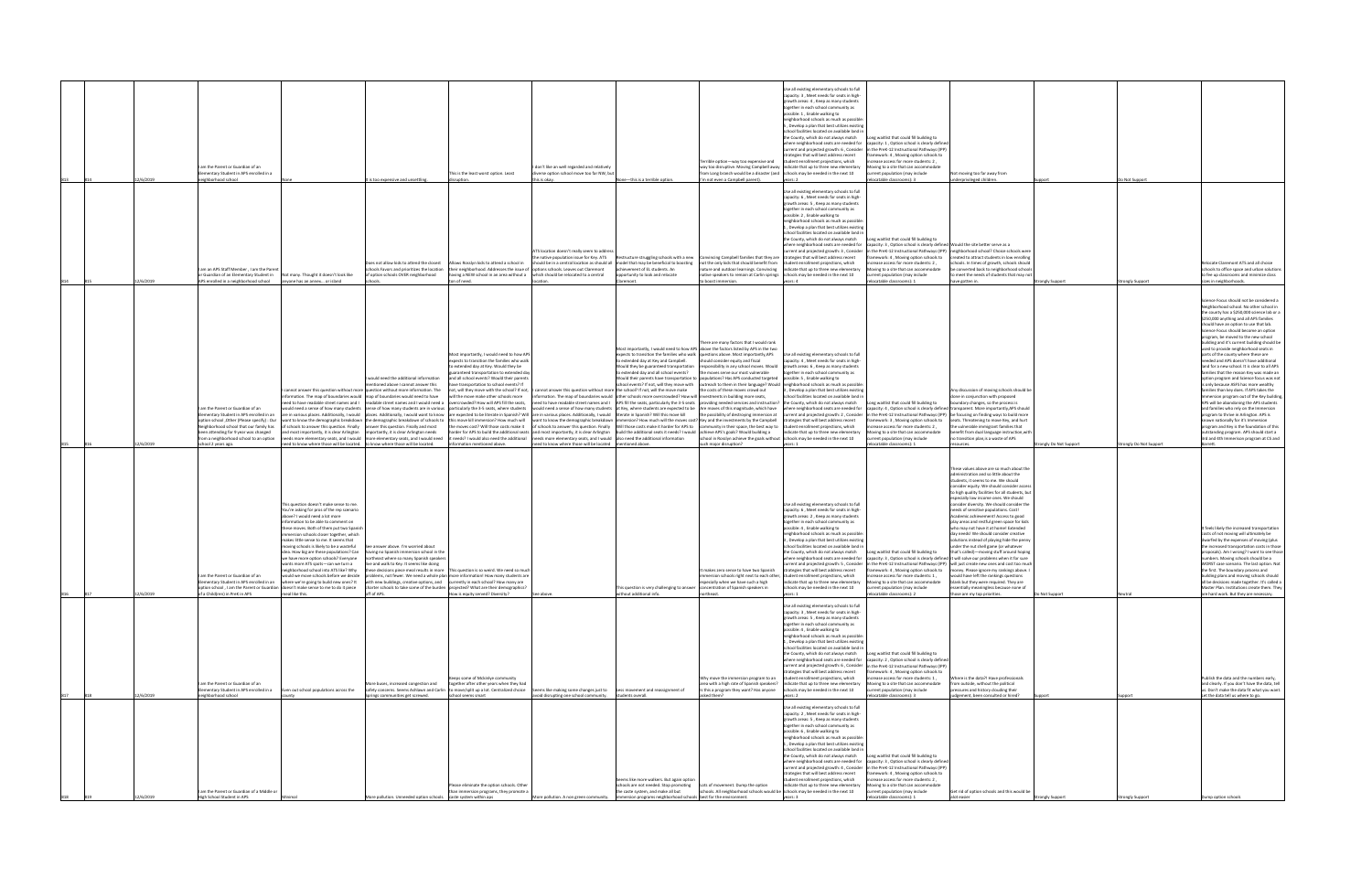|     |     | 12/6/2019 | am the Parent or Guardian of an<br>lementary Student in APS enrolled in a<br>loorlagie                                                                                                                                                      |                                                                                                                                                                                                                                                                                                                                                                                                                                                                                     | t is too expensive and unsettling                                                                                                                                                                                                                                                                                                                                                                                                                                                                                                                                                                                             | This is the least worst option, Least                                                                                                                                                                                                                                                                   | don't like an well regarded and relatively<br>diverse option school move too far NW, but<br>his is okay                                                                                                                                                                                                                                                                                                                                                                                                                                                                                                                                                                                                  | None-this is a terrible option.                                                                                                                                                               | Terrible option-way too expensive and<br>rom Long branch would be a disaster (and schools may be needed in the next 10<br>I'm not even a Campbell parent).                                                                                                                                                                                                                                                                                                                                                                                                                                                                                                                                                                                                                                                                                                                                                                                                                                                                                                                                                                                                                                                                                                                                                                                                                                                                                                                                                                                                                                                                                                                                                                                                                                                                                                                                | Ise all existing elementary schools to full<br>capacity: 3, Meet needs for seats in high-<br>rowth areas: 4, Keep as many students<br>together in each school community as<br>ossible: 1, Enable walking to<br>eighborhood schools as much as possible<br>Develop a plan that best utilizes existin<br>school facilities located on available land in<br>the County, which do not always match<br>where neighborhood seats are needed for<br>current and projected growth: 6, Consider<br>rategies that will best address recent<br>student enrollment projections, which<br>way too disruptive. Moving Campbell away  indicate that up to three new elementary<br>vears: 2 | ong waitlist that could fill building to<br>capacity: 1, Option school is clearly defined<br>n the PreK-12 Instructional Pathways (IPP)<br>nework: 4, Moving option schools to<br>ncrease access for more students: 2,<br>oving to a site that can accommodate<br>urrent population (may include<br>locatable classrooms): 3                             | Not moving too far away from<br>underprivileged children.                                                                                                                                                                                                                                                                                                                                                                                                                                                                                                                                                                                                                                                                                                                                                                                                                                                                                                                                                                                                                                                    |                      | O Not Support       |                                                                                                                                                                                                                                                                                                                                                                                                                                                                                                                                                                                                                                                                                                                                                                                                                                                                                                                                                                                                                                                                |
|-----|-----|-----------|---------------------------------------------------------------------------------------------------------------------------------------------------------------------------------------------------------------------------------------------|-------------------------------------------------------------------------------------------------------------------------------------------------------------------------------------------------------------------------------------------------------------------------------------------------------------------------------------------------------------------------------------------------------------------------------------------------------------------------------------|-------------------------------------------------------------------------------------------------------------------------------------------------------------------------------------------------------------------------------------------------------------------------------------------------------------------------------------------------------------------------------------------------------------------------------------------------------------------------------------------------------------------------------------------------------------------------------------------------------------------------------|---------------------------------------------------------------------------------------------------------------------------------------------------------------------------------------------------------------------------------------------------------------------------------------------------------|----------------------------------------------------------------------------------------------------------------------------------------------------------------------------------------------------------------------------------------------------------------------------------------------------------------------------------------------------------------------------------------------------------------------------------------------------------------------------------------------------------------------------------------------------------------------------------------------------------------------------------------------------------------------------------------------------------|-----------------------------------------------------------------------------------------------------------------------------------------------------------------------------------------------|-------------------------------------------------------------------------------------------------------------------------------------------------------------------------------------------------------------------------------------------------------------------------------------------------------------------------------------------------------------------------------------------------------------------------------------------------------------------------------------------------------------------------------------------------------------------------------------------------------------------------------------------------------------------------------------------------------------------------------------------------------------------------------------------------------------------------------------------------------------------------------------------------------------------------------------------------------------------------------------------------------------------------------------------------------------------------------------------------------------------------------------------------------------------------------------------------------------------------------------------------------------------------------------------------------------------------------------------------------------------------------------------------------------------------------------------------------------------------------------------------------------------------------------------------------------------------------------------------------------------------------------------------------------------------------------------------------------------------------------------------------------------------------------------------------------------------------------------------------------------------------------------|-----------------------------------------------------------------------------------------------------------------------------------------------------------------------------------------------------------------------------------------------------------------------------------------------------------------------------------------------------------------------------------------------------------------------------------------------------------------------------------------------------------------------------------------------------------------------------------------------------------------------------------------------------------------------------|----------------------------------------------------------------------------------------------------------------------------------------------------------------------------------------------------------------------------------------------------------------------------------------------------------------------------------------------------------|--------------------------------------------------------------------------------------------------------------------------------------------------------------------------------------------------------------------------------------------------------------------------------------------------------------------------------------------------------------------------------------------------------------------------------------------------------------------------------------------------------------------------------------------------------------------------------------------------------------------------------------------------------------------------------------------------------------------------------------------------------------------------------------------------------------------------------------------------------------------------------------------------------------------------------------------------------------------------------------------------------------------------------------------------------------------------------------------------------------|----------------------|---------------------|----------------------------------------------------------------------------------------------------------------------------------------------------------------------------------------------------------------------------------------------------------------------------------------------------------------------------------------------------------------------------------------------------------------------------------------------------------------------------------------------------------------------------------------------------------------------------------------------------------------------------------------------------------------------------------------------------------------------------------------------------------------------------------------------------------------------------------------------------------------------------------------------------------------------------------------------------------------------------------------------------------------------------------------------------------------|
|     |     | 2/6/2019  | am an APS Staff Member, I am the Parent<br>or Guardian of an Elementary Student in Not many. Thought it doesn't look like<br>APS enrolled in a neighborhood school anyone has an annex or island                                            |                                                                                                                                                                                                                                                                                                                                                                                                                                                                                     | oes not allow kids to attend the closest<br>of option schools OVER neighborhood                                                                                                                                                                                                                                                                                                                                                                                                                                                                                                                                               | chools Favors and prioritizes the location their neighborhood. Addresses the issue of options schools. Leaves out Claremont<br>having a NEW school in an area without a which should be relocated to a central<br>ton of need.                                                                          | ATS location doesn't really seem to address<br>Allows Rosslyn kids to attend a school in should be in a central location as should all model that may be beneficial to boosting<br>ocation                                                                                                                                                                                                                                                                                                                                                                                                                                                                                                               | achievement of EL students. An<br>opportunity to look and relocate<br>laremont.                                                                                                               | he native population issue for Key. ATS Restructure struggling schools with a new Convincing Campbell families that they are strategies that will best address recent<br>not the only kids that should benefit from student enrollment projections, which<br>native speakers to remain at Carlin springs schools may be needed in the next 10<br>boost immersion.                                                                                                                                                                                                                                                                                                                                                                                                                                                                                                                                                                                                                                                                                                                                                                                                                                                                                                                                                                                                                                                                                                                                                                                                                                                                                                                                                                                                                                                                                                                         | Use all existing elementary schools to full<br>capacity: 6, Meet needs for seats in high<br>rowth areas: 5, Keep as many students<br>ogether in each school community as<br>possible: 2, Enable walking to<br>neighborhood schools as much as possible:<br>. Develop a plan that best utilizes existin<br>school facilities located on available land i<br>the County, which do not always match<br>where neighborhood seats are needed for<br>current and projected growth: 3, Consider<br>nature and outdoor learnings. Convincing lindicate that up to three new elementary<br>pars: 4                                                                                   | one waitlist that could fill buildine to<br>capacity: 3, Option school is clearly defined Would the site better serve as a<br>mework: 4, Moving option schools to<br>rease access for more students: 2,<br>Aoving to a site that can accommodate<br>urrent population (may include<br>elocatable classrooms): 1                                          | in the PreK-12 Instructional Pathways (IPP)  neighborhood school? Choice schools were<br>created to attract students in low enrolling<br>chools. In times of growth, schools should<br>be converted back to neighborhood schools<br>to meet the needs of students that may not<br>have gotten in.                                                                                                                                                                                                                                                                                                                                                                                                                                                                                                                                                                                                                                                                                                                                                                                                            | trongly Support      | trongly Support     | Relocate Claremont ATS and all choice<br>schools to office space and urban solutions<br>to fee up classrooms and minimize class<br>sizes in neighborhoods.                                                                                                                                                                                                                                                                                                                                                                                                                                                                                                                                                                                                                                                                                                                                                                                                                                                                                                     |
|     |     | 2/6/2019  | I am the Parent or Guardian of an<br>been attending for 9 year was changed<br>rom a neighborhood school to an option<br>chool 2 years ago.                                                                                                  | cannot answer this question without more question without more information. The<br>nformation. The map of boundaries would map of boundaries would need to have<br>Neighborhood school that our family has of schools to answer this question. Finally answer this question. Finally and most<br>and most importantly, it is clear Arlington importantly, it is clear Arlington needs<br>eed to know where those will be located. to know where those will be located.              | would need the additional information<br>entioned above I cannot answer this<br>eeds more elementary seats, and I would   more elementary seats, and I would need                                                                                                                                                                                                                                                                                                                                                                                                                                                             | Most importantly, I would need to how APS<br>xpects to transition the families who walk<br>to extended day at Key. Would they be<br>guaranteed transportation to extended day<br>and all school events? Would their parents<br>have transportation to school events? If<br>information mentioned above. | not, will they move with the school? If not, I cannot answer this question without more the school? If not, will the move make the costs of these moves crowd out<br>will the move make other schools more information. The map of boundaries would other schools more overcrowded? How will investments in building more seats,<br>harder for APS to build the additional seats and most importantly, it is clear Arlington build the additional seats it needs? I would achieve APS's goals? Would building a<br>it needs? I would also need the additional needs more elementary seats, and I would also need the additional information<br>need to know where those will be located mentioned above. | o extended day at Key and Campbell.<br>o extended day and all school events?                                                                                                                  | here are many factors that I would rank<br>Most importantly, I would need to how APS above the factors listed by APS in the two<br>expects to transition the families who walk questions above. Most importantly, APS<br>should consider equity and fiscal<br>Would they be guaranteed transportation responsibility in any school moves. Would growth areas: 6, Keep as many students<br>the moves serve our most vulnerable<br>Would their parents have transportation to populations? Has APS conducted targeted<br>school events? If not, will they move with   outreach to them in their language? Would   neighborhood schools as much as possible<br>eed to have readable street names and I readable street names and I would need a overcrowded? How will APS fill the seats, need to have readable street names and I APS fill the seats, particularly the 3-5 seats providing n<br>rould need a sense of how many students sense of how many students are in various particularly the 3-5 seats, where students would need a sense of how many students at Key, where students are expected to be Are moves of th<br>Elementary Student in APS enrolled in an are in various places. Additionally, I would places. Additionally, I would want to know are expected to be literate in Spanish? Will are in various places. Additionally, I would wan<br>option school Other (Please specify) : Our want to know the demographic breakdown the demographic breakdown of schools to this move kill immersion? How much will want to know the demographic breakdown immersion? How much w<br>the moves cost? Will those costs make it of schools to answer this question. Finally Will those costs make it harder for APS to community in their space, the best way to student enrollment projections, which<br>chool in Rosslyn achieve the goals without<br>ch major disruption? | Use all existing elementary schools to full<br>capacity: 4, Meet needs for seats in high<br>together in each school community as<br>possible: 5 . Enable walking to<br>. Develop a plan that best utilizes existine<br>school facilities located on available land in<br>where neighborhood seats are needed for<br>current and projected growth: 2, Consider<br>strategies that will best address recent<br>indicate that up to three new elementary<br>chools may be needed in the next 10                                                                                                                                                                                | Long waitlist that could fill building to<br>mework: 3, Moving option schools to<br>rease access for more students: 2,<br>oving to a site that can accommodate<br>rent population (may include<br>ocatable classrooms): 1                                                                                                                                | Any discussion of moving schools should be<br>done in conjunction with proposed<br>poundary changes, so the process is<br>capacity: 4, Option school is clearly defined transparent. More importantly, APS should<br>in the PreK-12 Instructional Pathways (IPP) be focusing on finding ways to build more<br>seats. Threatening to move Key, and hurt<br>the vulnerable immigrant families that<br>benefit from dual language instruction, with<br>transition plan, is a waste of APS                                                                                                                                                                                                                                                                                                                                                                                                                                                                                                                                                                                                                       | ongly Do Not Support | ongly Do Not Suppor | Science Focus should not be considered a<br>Neighborhood school. No other school ir<br>the county has a \$250,000 science lab or a<br>\$250,000 anything and all APS families<br>hould have an option to use that lab.<br>Science Focus should become an option<br>program, be moved to the new school<br>building and it's current building should be<br>used to provide neighborhood seats in<br>parts of the county where these are<br>needed and APS doesn't have additional<br>land for a new school. It is clear to all APS<br>amilies that the reason Key was made an<br>otion program and Science focus was not<br>only because ASFS has more wealthy<br>amilies than key does. If APS takes the<br>mmersion program out of the Key building,<br>APS will be abandoning the APS students<br>and families who rely on the Immersion<br>program to thrive in Arlington. APS is<br>known nationally for it's Immersion<br>program and Key is the foundation of this<br>outstanding program. APS should start a<br>3rd and 4th Immerison program at CS and |
|     |     | 2/6/2019  | am the Parent or Guardian of an<br>Elementary Student in APS enrolled in an where we're going to build new ones? It<br>option school, I am the Parent or Guardian doesn't make sense to me to do it piece<br>of a Child(ren) in PreK in APS | his question doesn't make sense to me.<br>You're asking for pros of the rep scenario<br>ove? I would need a lot more<br>ormation to be able to comment on<br>hese moves. Both of them put two Spanish<br>mersion schools closer together, which<br>akes little sense to me. It seems that<br>oving schools is likely to be a wasteful<br>idea. How big are these populations? Can<br>we have more option schools? Everyone<br>wants more ATS spots-can we turn a<br>meal like this. | See answer above. I'm worried about<br>having no Spanish immersion school in the<br>ortheast where so many Spanish speakers<br>live and walk to Key. It seems like doing<br>neighborhood school into ATS like? Why these decisions piece meal results in more This question is so weird. We need so much<br>would we move schools before we decide problems, not fewer. We need a whole plan more information! How many students are<br>with new buildings, creative options, and currently in each school? How many are<br>charter schools to take some of the burden projected? What are their demographics?<br>off of APS. | How is equity served? Diversity?                                                                                                                                                                                                                                                                        | See above                                                                                                                                                                                                                                                                                                                                                                                                                                                                                                                                                                                                                                                                                                | This question is very challenging to answer<br>without additional info.                                                                                                                       | It makes zero sense to have two Spanish<br>immersion schools right next to each other, student enrollment projections, which<br>especially when we have such a high<br>concentration of Spanish speakers in<br>theast.                                                                                                                                                                                                                                                                                                                                                                                                                                                                                                                                                                                                                                                                                                                                                                                                                                                                                                                                                                                                                                                                                                                                                                                                                                                                                                                                                                                                                                                                                                                                                                                                                                                                    | Use all existing elementary schools to full<br>capacity: 6, Meet needs for seats in high<br>growth areas: 2, Keep as many students<br>ogether in each school community as<br>possible: 4 . Enable walking to<br>eighborhood schools as much as possible:<br>, Develop a plan that best utilizes existing<br>school facilities located on available land in<br>the County, which do not always match<br>where neighborhood seats are needed for<br>strategies that will best address recent<br>indicate that up to three new elementary<br>schools may be needed in the next 10<br>ears: 1                                                                                   | ong waitlist that could fill building to<br>increase access for more students: $1$ , would have left the rankings questions<br>Moving to a site that can accommodate<br>current population (may include<br>elocatable classrooms): 2                                                                                                                     | These values above are so much about the<br>ministration and so little about the<br>tudents, it seems to me. We should<br>onsider equity. We should consider access<br>o high quality facilities for all students, but<br>specially low income ones. We should<br>consider diversity. We should consider the<br>eeds of sensitive populations. Cost!<br>cademic achievement! Access to good<br>play areas and restful green space for kids<br>who may not have it at home! Extended<br>day needs! We should consider creative<br>solutions instead of playing hide the penny<br>under the nut shell game (or whatever<br>that's called)-moving stuff around hoping<br>capacity: 3, Option school is clearly defined it will solve our problems when it for sure<br>current and projected growth: 5, Consider in the PreK-12 Instructional Pathways (IPP) will just create new ones and cost too much<br>framework: 4, Moving option schools to money. Please ignore my rankings above. I<br>blank but they were required. They are<br>essentially meaningless because none of<br>hose are my top priorities. | Oo Not Support       |                     | t feels likely the increased transportation<br>costs of not moving will ultimately be<br>dwarfed by the expenses of moving (plus<br>e increased transportation costs in those<br>roposals). Am I wrong? I want to see those<br>numbers. Moving schools should be a<br>WORST case scenario. The last option. Not<br>the first. The boundary process and<br>building plans and moving schools should<br>all be decisions made together. It's called a<br>Master Plan. Institutions create them. They<br>are hard work. But they are necessary.                                                                                                                                                                                                                                                                                                                                                                                                                                                                                                                   |
|     |     |           | am the Parent or Guardian of an<br>Elementary Student in APS enrolled in a                                                                                                                                                                  | Even out school populations across the                                                                                                                                                                                                                                                                                                                                                                                                                                              | ore buses, increased congestion and                                                                                                                                                                                                                                                                                                                                                                                                                                                                                                                                                                                           | eens some of Mckinlye community<br>together after other years when they had                                                                                                                                                                                                                             | safety concerns. Seems Ashlawn and Carlin to move/split up a lot. Centralized choice Seems like making some changes just to Less movement and reassignment of                                                                                                                                                                                                                                                                                                                                                                                                                                                                                                                                            |                                                                                                                                                                                               | Why move the immersion program to an<br>area with a high rate of Spanish speakers?<br>Is this a program they want? Has anyone                                                                                                                                                                                                                                                                                                                                                                                                                                                                                                                                                                                                                                                                                                                                                                                                                                                                                                                                                                                                                                                                                                                                                                                                                                                                                                                                                                                                                                                                                                                                                                                                                                                                                                                                                             | Use all existing elementary schools to full<br>capacity: 3, Meet needs for seats in high-<br>growth areas: 5, Keep as many students<br>together in each school community as<br>ossible: 4, Enable walking to<br>neighborhood schools as much as possible<br>., Develop a plan that best utilizes existing<br>school facilities located on available land in<br>the County, which do not always match<br>where neighborhood seats are needed for<br>current and projected growth: 6, Consider<br>trategies that will best address recent<br>student enrollment projections, which<br>indicate that up to three new elementary<br>schools may be needed in the next 10        | Long waitlist that could fill building to<br>capacity: 2, Option school is clearly defined<br>in the PreK-12 Instructional Pathways (IPP)<br>mework: 4, Moving option schools to<br>crease access for more students: 1,<br>ving to a site that can accommodate<br>urrent population (may include                                                         | Vhere is the data?! Have professionals<br>rom outside, without the political<br>ressures and history clouding their                                                                                                                                                                                                                                                                                                                                                                                                                                                                                                                                                                                                                                                                                                                                                                                                                                                                                                                                                                                          |                      |                     | Publish the data and the numbers early,<br>and clearly. If you don't have the data, tell<br>us. Don't make the data fit what you want.                                                                                                                                                                                                                                                                                                                                                                                                                                                                                                                                                                                                                                                                                                                                                                                                                                                                                                                         |
| 817 | 818 | 12/6/2019 | neighborhood school<br>am the Parent or Guardian of a Middle or<br>ligh School Student in APS                                                                                                                                               |                                                                                                                                                                                                                                                                                                                                                                                                                                                                                     | Springs communities get screwed.<br>fore pollution. Unneeded option schools. caste system within aps                                                                                                                                                                                                                                                                                                                                                                                                                                                                                                                          | school seems smart<br>Please eliminate the option schools. Other<br>han immersion programs, they promote a                                                                                                                                                                                              | avoid disrupting one school community. students overall.<br>More pollution. A non green community.                                                                                                                                                                                                                                                                                                                                                                                                                                                                                                                                                                                                       | Seems like more walkers. But again option<br>schools are not needed. Stop promoting<br>the caste system, and make all but<br>mmersion programs neighborhood schools best for the environment. | sked them?<br>Lots of movement. Dump the option<br>schools. All neighborhood schools would be schools may be needed in the next 10                                                                                                                                                                                                                                                                                                                                                                                                                                                                                                                                                                                                                                                                                                                                                                                                                                                                                                                                                                                                                                                                                                                                                                                                                                                                                                                                                                                                                                                                                                                                                                                                                                                                                                                                                        | vears: 2<br>Use all existing elementary schools to full<br>capacity: 2, Meet needs for seats in high-<br>growth areas: 5, Keep as many students<br>together in each school community as<br>ossible: 6 . Enable walking to<br>eighborhood schools as much as possible<br>1, Develop a plan that best utilizes existing<br>school facilities located on available land in<br>the County, which do not always match<br>where neighborhood seats are needed for<br>urrent and projected growth: 4, Consider<br>trategies that will best address recent<br>student enrollment projections, which<br>indicate that up to three new elementary<br>vears: 3                         | elocatable classrooms): 3<br>Long waitlist that could fill building to<br>capacity: 3, Option school is clearly defined<br>the PreK-12 Instructional Pathways (IPP)<br>mework: 4. Moving option schools to<br>crease access for more students: 2,<br>Moving to a site that can accommodate<br>current population (may include<br>ocatable classrooms): 1 | dgement, been consulted or hired?<br>Get rid of option schools and this would be                                                                                                                                                                                                                                                                                                                                                                                                                                                                                                                                                                                                                                                                                                                                                                                                                                                                                                                                                                                                                             | ongly Suppor         |                     | Let the data tell us where to go.<br>mp option schoo                                                                                                                                                                                                                                                                                                                                                                                                                                                                                                                                                                                                                                                                                                                                                                                                                                                                                                                                                                                                           |